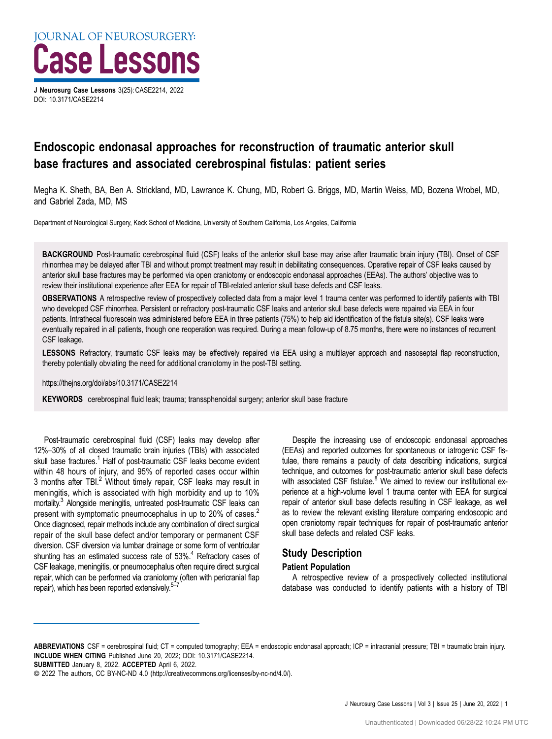J Neurosurg Case Lessons 3(25): CASE2214, 2022 DOI: [10.3171/CASE2214](https://doi.org/10.3171/CASE2214)

# Endoscopic endonasal approaches for reconstruction of traumatic anterior skull base fractures and associated cerebrospinal fistulas: patient series

Megha K. Sheth, BA, Ben A. Strickland, MD, Lawrance K. Chung, MD, Robert G. Briggs, MD, Martin Weiss, MD, Bozena Wrobel, MD, and Gabriel Zada, MD, MS

Department of Neurological Surgery, Keck School of Medicine, University of Southern California, Los Angeles, California

BACKGROUND Post-traumatic cerebrospinal fluid (CSF) leaks of the anterior skull base may arise after traumatic brain injury (TBI). Onset of CSF rhinorrhea may be delayed after TBI and without prompt treatment may result in debilitating consequences. Operative repair of CSF leaks caused by anterior skull base fractures may be performed via open craniotomy or endoscopic endonasal approaches (EEAs). The authors' objective was to review their institutional experience after EEA for repair of TBI-related anterior skull base defects and CSF leaks.

OBSERVATIONS A retrospective review of prospectively collected data from a major level 1 trauma center was performed to identify patients with TBI who developed CSF rhinorrhea. Persistent or refractory post-traumatic CSF leaks and anterior skull base defects were repaired via EEA in four patients. Intrathecal fluorescein was administered before EEA in three patients (75%) to help aid identification of the fistula site(s). CSF leaks were eventually repaired in all patients, though one reoperation was required. During a mean follow-up of 8.75 months, there were no instances of recurrent CSF leakage.

LESSONS Refractory, traumatic CSF leaks may be effectively repaired via EEA using a multilayer approach and nasoseptal flap reconstruction, thereby potentially obviating the need for additional craniotomy in the post-TBI setting.

https://thejns.org/doi/abs/10.3171/CASE2214

KEYWORDS cerebrospinal fluid leak; trauma; transsphenoidal surgery; anterior skull base fracture

Post-traumatic cerebrospinal fluid (CSF) leaks may develop after 12%–30% of all closed traumatic brain injuries (TBIs) with associated skull base fractures.<sup>1</sup> Half of post-traumatic CSF leaks become evident within 48 hours of injury, and 95% of reported cases occur within 3 months after TBI.<sup>[2](#page-4-0)</sup> Without timely repair, CSF leaks may result in meningitis, which is associated with high morbidity and up to 10% mortality[.3](#page-4-0) Alongside meningitis, untreated post-traumatic CSF leaks can present with symptomatic pneumocephalus in up to [2](#page-4-0)0% of cases.<sup>2</sup> Once diagnosed, repair methods include any combination of direct surgical repair of the skull base defect and/or temporary or permanent CSF diversion. CSF diversion via lumbar drainage or some form of ventricular shunting has an estimated success rate of 53%.<sup>4</sup> Refractory cases of CSF leakage, meningitis, or pneumocephalus often require direct surgical repair, which can be performed via craniotomy (often with pericranial flap repair), which has been reported extensively.<sup>5</sup>

Despite the increasing use of endoscopic endonasal approaches (EEAs) and reported outcomes for spontaneous or iatrogenic CSF fistulae, there remains a paucity of data describing indications, surgical technique, and outcomes for post-traumatic anterior skull base defects with associated CSF fistulae.<sup>8</sup> We aimed to review our institutional experience at a high-volume level 1 trauma center with EEA for surgical repair of anterior skull base defects resulting in CSF leakage, as well as to review the relevant existing literature comparing endoscopic and open craniotomy repair techniques for repair of post-traumatic anterior skull base defects and related CSF leaks.

# Study Description

#### Patient Population

A retrospective review of a prospectively collected institutional database was conducted to identify patients with a history of TBI

SUBMITTED January 8, 2022. ACCEPTED April 6, 2022.

ABBREVIATIONS CSF = cerebrospinal fluid; CT = computed tomography; EEA = endoscopic endonasal approach; ICP = intracranial pressure; TBI = traumatic brain injury. INCLUDE WHEN CITING Published June 20, 2022; DOI: 10.3171/CASE2214.

<sup>©</sup> 2022 The authors, CC BY-NC-ND 4.0 ([http://creativecommons.org/licenses/by-nc-nd/4.0/\)](https://creativecommons.org/licenses/by-nc-nd/4.0/).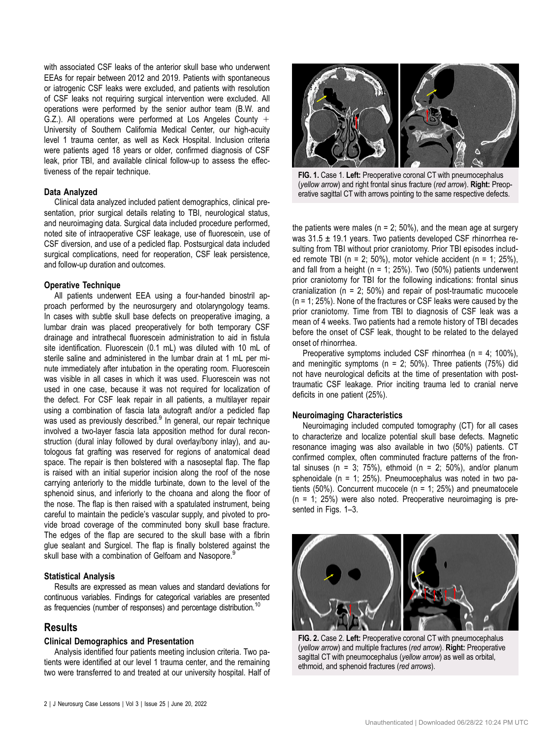with associated CSF leaks of the anterior skull base who underwent EEAs for repair between 2012 and 2019. Patients with spontaneous or iatrogenic CSF leaks were excluded, and patients with resolution of CSF leaks not requiring surgical intervention were excluded. All operations were performed by the senior author team (B.W. and G.Z.). All operations were performed at Los Angeles County  $+$ University of Southern California Medical Center, our high-acuity level 1 trauma center, as well as Keck Hospital. Inclusion criteria were patients aged 18 years or older, confirmed diagnosis of CSF leak, prior TBI, and available clinical follow-up to assess the effectiveness of the repair technique.

#### Data Analyzed

Clinical data analyzed included patient demographics, clinical presentation, prior surgical details relating to TBI, neurological status, and neuroimaging data. Surgical data included procedure performed, noted site of intraoperative CSF leakage, use of fluorescein, use of CSF diversion, and use of a pedicled flap. Postsurgical data included surgical complications, need for reoperation, CSF leak persistence, and follow-up duration and outcomes.

#### Operative Technique

All patients underwent EEA using a four-handed binostril approach performed by the neurosurgery and otolaryngology teams. In cases with subtle skull base defects on preoperative imaging, a lumbar drain was placed preoperatively for both temporary CSF drainage and intrathecal fluorescein administration to aid in fistula site identification. Fluorescein (0.1 mL) was diluted with 10 mL of sterile saline and administered in the lumbar drain at 1 mL per minute immediately after intubation in the operating room. Fluorescein was visible in all cases in which it was used. Fluorescein was not used in one case, because it was not required for localization of the defect. For CSF leak repair in all patients, a multilayer repair using a combination of fascia lata autograft and/or a pedicled flap was used as previously described.<sup>[9](#page-4-0)</sup> In general, our repair technique involved a two-layer fascia lata apposition method for dural reconstruction (dural inlay followed by dural overlay/bony inlay), and autologous fat grafting was reserved for regions of anatomical dead space. The repair is then bolstered with a nasoseptal flap. The flap is raised with an initial superior incision along the roof of the nose carrying anteriorly to the middle turbinate, down to the level of the sphenoid sinus, and inferiorly to the choana and along the floor of the nose. The flap is then raised with a spatulated instrument, being careful to maintain the pedicle's vascular supply, and pivoted to provide broad coverage of the comminuted bony skull base fracture. The edges of the flap are secured to the skull base with a fibrin glue sealant and Surgicel. The flap is finally bolstered against the skull base with a combination of Gelfoam and Nasopore.<sup>[9](#page-4-0)</sup>

### Statistical Analysis

Results are expressed as mean values and standard deviations for continuous variables. Findings for categorical variables are presented as frequencies (number of responses) and percentage distribution.<sup>10</sup>

## Results

## Clinical Demographics and Presentation

Analysis identified four patients meeting inclusion criteria. Two patients were identified at our level 1 trauma center, and the remaining two were transferred to and treated at our university hospital. Half of



FIG. 1. Case 1. Left: Preoperative coronal CT with pneumocephalus (yellow arrow) and right frontal sinus fracture (red arrow). Right: Preoperative sagittal CT with arrows pointing to the same respective defects.

the patients were males ( $n = 2$ ; 50%), and the mean age at surgery was 31.5 ± 19.1 years. Two patients developed CSF rhinorrhea resulting from TBI without prior craniotomy. Prior TBI episodes included remote TBI ( $n = 2$ ; 50%), motor vehicle accident ( $n = 1$ ; 25%), and fall from a height ( $n = 1$ ; 25%). Two (50%) patients underwent prior craniotomy for TBI for the following indications: frontal sinus cranialization ( $n = 2$ ; 50%) and repair of post-traumatic mucocele (n = 1; 25%). None of the fractures or CSF leaks were caused by the prior craniotomy. Time from TBI to diagnosis of CSF leak was a mean of 4 weeks. Two patients had a remote history of TBI decades before the onset of CSF leak, thought to be related to the delayed onset of rhinorrhea.

Preoperative symptoms included CSF rhinorrhea (n = 4; 100%), and meningitic symptoms ( $n = 2$ ; 50%). Three patients (75%) did not have neurological deficits at the time of presentation with posttraumatic CSF leakage. Prior inciting trauma led to cranial nerve deficits in one patient (25%).

### Neuroimaging Characteristics

Neuroimaging included computed tomography (CT) for all cases to characterize and localize potential skull base defects. Magnetic resonance imaging was also available in two (50%) patients. CT confirmed complex, often comminuted fracture patterns of the frontal sinuses ( $n = 3$ ; 75%), ethmoid ( $n = 2$ ; 50%), and/or planum sphenoidale ( $n = 1$ ; 25%). Pneumocephalus was noted in two patients (50%). Concurrent mucocele (n = 1; 25%) and pneumatocele (n = 1; 25%) were also noted. Preoperative neuroimaging is presented in Figs. 1–[3.](#page-2-0)



FIG. 2. Case 2. Left: Preoperative coronal CT with pneumocephalus (yellow arrow) and multiple fractures (red arrow). Right: Preoperative sagittal CT with pneumocephalus (yellow arrow) as well as orbital, ethmoid, and sphenoid fractures (red arrows).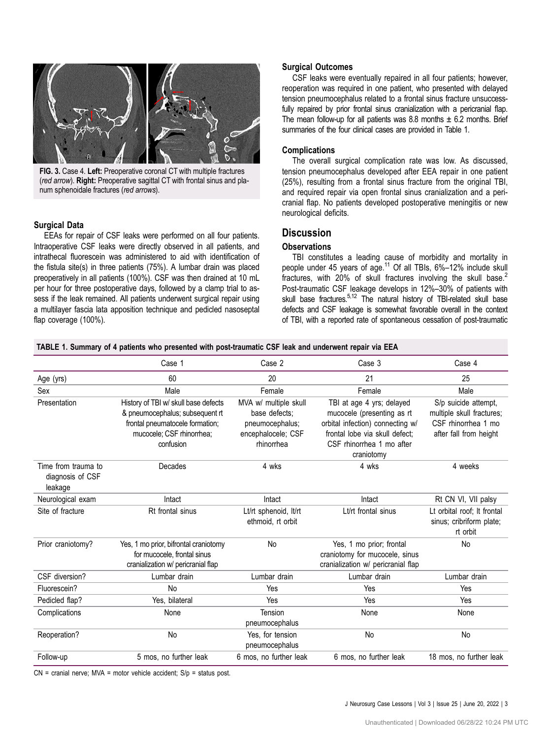<span id="page-2-0"></span>

FIG. 3. Case 4. Left: Preoperative coronal CT with multiple fractures (red arrow). Right: Preoperative sagittal CT with frontal sinus and planum sphenoidale fractures (red arrows).

#### Surgical Data

EEAs for repair of CSF leaks were performed on all four patients. Intraoperative CSF leaks were directly observed in all patients, and intrathecal fluorescein was administered to aid with identification of the fistula site(s) in three patients (75%). A lumbar drain was placed preoperatively in all patients (100%). CSF was then drained at 10 mL per hour for three postoperative days, followed by a clamp trial to assess if the leak remained. All patients underwent surgical repair using a multilayer fascia lata apposition technique and pedicled nasoseptal flap coverage (100%).

#### Surgical Outcomes

CSF leaks were eventually repaired in all four patients; however, reoperation was required in one patient, who presented with delayed tension pneumocephalus related to a frontal sinus fracture unsuccessfully repaired by prior frontal sinus cranialization with a pericranial flap. The mean follow-up for all patients was 8.8 months  $\pm$  6.2 months. Brief summaries of the four clinical cases are provided in Table 1.

#### Complications

The overall surgical complication rate was low. As discussed, tension pneumocephalus developed after EEA repair in one patient (25%), resulting from a frontal sinus fracture from the original TBI, and required repair via open frontal sinus cranialization and a pericranial flap. No patients developed postoperative meningitis or new neurological deficits.

# **Discussion**

### **Observations**

TBI constitutes a leading cause of morbidity and mortality in people under 45 years of age.<sup>11</sup> Of all TBIs, 6%-12% include skull fractures, with [2](#page-4-0)0% of skull fractures involving the skull base.<sup>2</sup> Post-traumatic CSF leakage develops in 12%–30% of patients with skull base fractures.<sup>5,12</sup> The natural history of TBI-related skull base defects and CSF leakage is somewhat favorable overall in the context of TBI, with a reported rate of spontaneous cessation of post-traumatic

|  |  |  |  | TABLE 1. Summary of 4 patients who presented with post-traumatic CSF leak and underwent repair via EEA |
|--|--|--|--|--------------------------------------------------------------------------------------------------------|
|--|--|--|--|--------------------------------------------------------------------------------------------------------|

|                                                    | Case 1                                                                                                                                               | Case 2                                                                                        | Case 3                                                                                                                                                                   | Case 4                                                                                             |
|----------------------------------------------------|------------------------------------------------------------------------------------------------------------------------------------------------------|-----------------------------------------------------------------------------------------------|--------------------------------------------------------------------------------------------------------------------------------------------------------------------------|----------------------------------------------------------------------------------------------------|
| Age (yrs)                                          | 60                                                                                                                                                   | 20                                                                                            | 21                                                                                                                                                                       | 25                                                                                                 |
| Sex                                                | Male                                                                                                                                                 | Female                                                                                        | Female                                                                                                                                                                   | Male                                                                                               |
| Presentation                                       | History of TBI w/ skull base defects<br>& pneumocephalus; subsequent rt<br>frontal pneumatocele formation;<br>mucocele; CSF rhinorrhea;<br>confusion | MVA w/ multiple skull<br>base defects:<br>pneumocephalus;<br>encephalocele; CSF<br>rhinorrhea | TBI at age 4 yrs; delayed<br>mucocele (presenting as rt<br>orbital infection) connecting w/<br>frontal lobe via skull defect;<br>CSF rhinorrhea 1 mo after<br>craniotomy | S/p suicide attempt,<br>multiple skull fractures;<br>CSF rhinorrhea 1 mo<br>after fall from height |
| Time from trauma to<br>diagnosis of CSF<br>leakage | Decades                                                                                                                                              | 4 wks                                                                                         | 4 wks                                                                                                                                                                    | 4 weeks                                                                                            |
| Neurological exam                                  | Intact                                                                                                                                               | Intact                                                                                        | Intact                                                                                                                                                                   | Rt CN VI, VII palsy                                                                                |
| Site of fracture                                   | Rt frontal sinus                                                                                                                                     | Lt/rt sphenoid, lt/rt<br>ethmoid, rt orbit                                                    | Lt/rt frontal sinus                                                                                                                                                      | Lt orbital roof; It frontal<br>sinus; cribriform plate;<br>rt orbit                                |
| Prior craniotomy?                                  | Yes, 1 mo prior, bifrontal craniotomy<br>for mucocele, frontal sinus<br>cranialization w/ pericranial flap                                           | No                                                                                            | Yes, 1 mo prior; frontal<br>craniotomy for mucocele, sinus<br>cranialization w/ pericranial flap                                                                         | No                                                                                                 |
| CSF diversion?                                     | Lumbar drain                                                                                                                                         | Lumbar drain                                                                                  | Lumbar drain                                                                                                                                                             | Lumbar drain                                                                                       |
| Fluorescein?                                       | <b>No</b>                                                                                                                                            | Yes                                                                                           | Yes                                                                                                                                                                      | Yes                                                                                                |
| Pedicled flap?                                     | Yes, bilateral                                                                                                                                       | Yes                                                                                           | Yes                                                                                                                                                                      | Yes                                                                                                |
| Complications                                      | None                                                                                                                                                 | Tension<br>pneumocephalus                                                                     | None                                                                                                                                                                     | None                                                                                               |
| Reoperation?                                       | No                                                                                                                                                   | Yes, for tension<br>pneumocephalus                                                            | <b>No</b>                                                                                                                                                                | No                                                                                                 |
| Follow-up                                          | 5 mos, no further leak                                                                                                                               | 6 mos, no further leak                                                                        | 6 mos, no further leak                                                                                                                                                   | 18 mos, no further leak                                                                            |

 $CN =$  cranial nerve; MVA = motor vehicle accident;  $S/p =$  status post.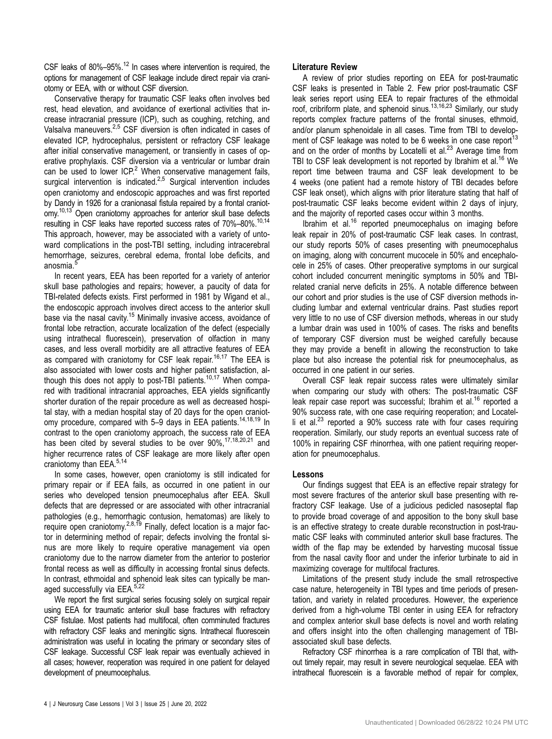CSF leaks of 80%-95%.<sup>[12](#page-4-0)</sup> In cases where intervention is required, the options for management of CSF leakage include direct repair via craniotomy or EEA, with or without CSF diversion.

Conservative therapy for traumatic CSF leaks often involves bed rest, head elevation, and avoidance of exertional activities that increase intracranial pressure (ICP), such as coughing, retching, and Valsalva maneuvers.<sup>[2,5](#page-4-0)</sup> CSF diversion is often indicated in cases of elevated ICP, hydrocephalus, persistent or refractory CSF leakage after initial conservative management, or transiently in cases of operative prophylaxis. CSF diversion via a ventricular or lumbar drain can be used to lower  $ICP<sup>2</sup>$  $ICP<sup>2</sup>$  $ICP<sup>2</sup>$  When conservative management fails, surgical intervention is indicated.<sup>[2](#page-4-0),[5](#page-4-0)</sup> Surgical intervention includes open craniotomy and endoscopic approaches and was first reported by Dandy in 1926 for a cranionasal fistula repaired by a frontal craniotomy.<sup>10,13</sup> Open craniotomy approaches for anterior skull base defects resulting in CSF leaks have reported success rates of 70%-80%.<sup>10,[14](#page-4-0)</sup> This approach, however, may be associated with a variety of untoward complications in the post-TBI setting, including intracerebral hemorrhage, seizures, cerebral edema, frontal lobe deficits, and anosmia.<sup>[5](#page-4-0)</sup>

In recent years, EEA has been reported for a variety of anterior skull base pathologies and repairs; however, a paucity of data for TBI-related defects exists. First performed in 1981 by Wigand et al., the endoscopic approach involves direct access to the anterior skull base via the nasal cavity.<sup>15</sup> Minimally invasive access, avoidance of frontal lobe retraction, accurate localization of the defect (especially using intrathecal fluorescein), preservation of olfaction in many cases, and less overall morbidity are all attractive features of EEA as compared with craniotomy for CSF leak repair.<sup>16,17</sup> The EEA is also associated with lower costs and higher patient satisfaction, although this does not apply to post-TBI patients.<sup>10,17</sup> When compared with traditional intracranial approaches, EEA yields significantly shorter duration of the repair procedure as well as decreased hospital stay, with a median hospital stay of 20 days for the open craniot-omy procedure, compared with 5-9 days in EEA patients.<sup>[14](#page-4-0),[18](#page-4-0),[19](#page-4-0)</sup> In contrast to the open craniotomy approach, the success rate of EEA has been cited by several studies to be over 90%,<sup>[17](#page-4-0),[18](#page-4-0)[,20,21](#page-5-0)</sup> and higher recurrence rates of CSF leakage are more likely after open craniotomy than EEA.<sup>[5,14](#page-4-0)</sup>

In some cases, however, open craniotomy is still indicated for primary repair or if EEA fails, as occurred in one patient in our series who developed tension pneumocephalus after EEA. Skull defects that are depressed or are associated with other intracranial pathologies (e.g., hemorrhagic contusion, hematomas) are likely to require open craniotomy. $2,8,19$  $2,8,19$  $2,8,19$  $2,8,19$  Finally, defect location is a major factor in determining method of repair; defects involving the frontal sinus are more likely to require operative management via open craniotomy due to the narrow diameter from the anterior to posterior frontal recess as well as difficulty in accessing frontal sinus defects. In contrast, ethmoidal and sphenoid leak sites can typically be man-aged successfully via EEA.<sup>[5](#page-4-0),[22](#page-5-0)</sup>

We report the first surgical series focusing solely on surgical repair using EEA for traumatic anterior skull base fractures with refractory CSF fistulae. Most patients had multifocal, often comminuted fractures with refractory CSF leaks and meningitic signs. Intrathecal fluorescein administration was useful in locating the primary or secondary sites of CSF leakage. Successful CSF leak repair was eventually achieved in all cases; however, reoperation was required in one patient for delayed development of pneumocephalus.

#### Literature Review

A review of prior studies reporting on EEA for post-traumatic CSF leaks is presented in [Table 2](#page-4-0). Few prior post-traumatic CSF leak series report using EEA to repair fractures of the ethmoidal roof, cribriform plate, and sphenoid sinus.<sup>[13](#page-4-0),[16](#page-4-0),[23](#page-5-0)</sup> Similarly, our study reports complex fracture patterns of the frontal sinuses, ethmoid, and/or planum sphenoidale in all cases. Time from TBI to develop-ment of CSF leakage was noted to be 6 weeks in one case report<sup>[13](#page-4-0)</sup> and on the order of months by Locatelli et al. $^{23}$  $^{23}$  $^{23}$  Average time from TBI to CSF leak development is not reported by Ibrahim et al.<sup>16</sup> We report time between trauma and CSF leak development to be 4 weeks (one patient had a remote history of TBI decades before CSF leak onset), which aligns with prior literature stating that half of post-traumatic CSF leaks become evident within 2 days of injury, and the majority of reported cases occur within 3 months.

Ibrahim et al.[16](#page-4-0) reported pneumocephalus on imaging before leak repair in 20% of post-traumatic CSF leak cases. In contrast, our study reports 50% of cases presenting with pneumocephalus on imaging, along with concurrent mucocele in 50% and encephalocele in 25% of cases. Other preoperative symptoms in our surgical cohort included concurrent meningitic symptoms in 50% and TBIrelated cranial nerve deficits in 25%. A notable difference between our cohort and prior studies is the use of CSF diversion methods including lumbar and external ventricular drains. Past studies report very little to no use of CSF diversion methods, whereas in our study a lumbar drain was used in 100% of cases. The risks and benefits of temporary CSF diversion must be weighed carefully because they may provide a benefit in allowing the reconstruction to take place but also increase the potential risk for pneumocephalus, as occurred in one patient in our series.

Overall CSF leak repair success rates were ultimately similar when comparing our study with others: The post-traumatic CSF leak repair case report was successful; Ibrahim et al.<sup>[16](#page-4-0)</sup> reported a 90% success rate, with one case requiring reoperation; and Locatelli et al. $^{23}$  $^{23}$  $^{23}$  reported a 90% success rate with four cases requiring reoperation. Similarly, our study reports an eventual success rate of 100% in repairing CSF rhinorrhea, with one patient requiring reoperation for pneumocephalus.

#### Lessons

Our findings suggest that EEA is an effective repair strategy for most severe fractures of the anterior skull base presenting with refractory CSF leakage. Use of a judicious pedicled nasoseptal flap to provide broad coverage of and apposition to the bony skull base is an effective strategy to create durable reconstruction in post-traumatic CSF leaks with comminuted anterior skull base fractures. The width of the flap may be extended by harvesting mucosal tissue from the nasal cavity floor and under the inferior turbinate to aid in maximizing coverage for multifocal fractures.

Limitations of the present study include the small retrospective case nature, heterogeneity in TBI types and time periods of presentation, and variety in related procedures. However, the experience derived from a high-volume TBI center in using EEA for refractory and complex anterior skull base defects is novel and worth relating and offers insight into the often challenging management of TBIassociated skull base defects.

Refractory CSF rhinorrhea is a rare complication of TBI that, without timely repair, may result in severe neurological sequelae. EEA with intrathecal fluorescein is a favorable method of repair for complex,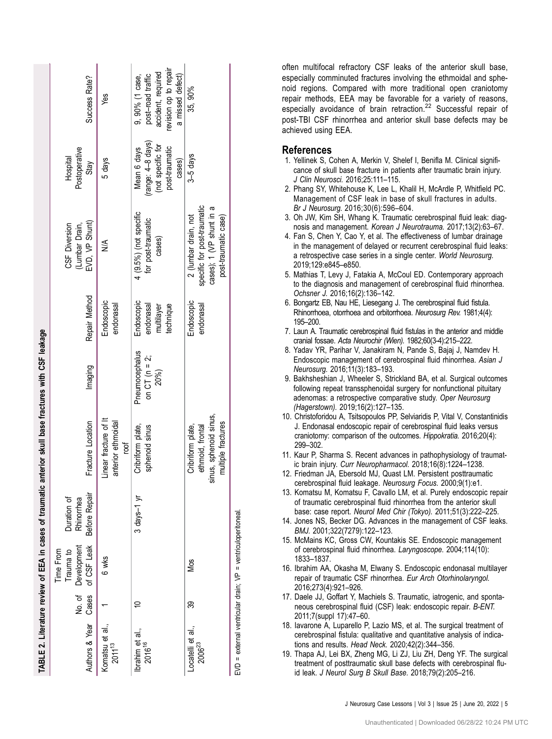<span id="page-4-0"></span>

|                                                             |     |                                                             | TABLE 2. Literature review of EEA in cases of traumatic | anterior skull base fractures with CSF leakage                                        |                                         |                                                    |                                                                                                         |                                                                                   |                                                                                                        |
|-------------------------------------------------------------|-----|-------------------------------------------------------------|---------------------------------------------------------|---------------------------------------------------------------------------------------|-----------------------------------------|----------------------------------------------------|---------------------------------------------------------------------------------------------------------|-----------------------------------------------------------------------------------|--------------------------------------------------------------------------------------------------------|
| Authors & Year Cases                                        |     | of CSF Leak<br>No. of Development<br>Trauma to<br>Time From | <b>Before Repair</b><br>Duration of<br>Rhinorrhea       | Fracture Location                                                                     | Imaging                                 | Repair Method                                      | EVD, VP Shunt)<br>CSF Diversion<br>(Lumbar Drain,                                                       | Postoperative<br>Hospital<br>Stay                                                 | Success Rate?                                                                                          |
| Komatsu et al.,<br>$2011^{13}$                              |     | 6 wks                                                       |                                                         | Linear fracture of It<br>anterior ethmoidal<br>roof                                   |                                         | Endoscopic<br>endonasal                            | ≸                                                                                                       | 5 days                                                                            | yes                                                                                                    |
| brahim et al.,<br>2016 <sup>16</sup>                        | ₽   |                                                             | $3$ days-1 $yr$                                         | Cribriform plate,<br>sphenoid sinus                                                   | Pneumocephalus<br>on CT (n = 2;<br>20%) | Endoscopic<br>endonasal<br>multilayer<br>technique | 4 (9.5%) (not specific<br>for post-traumatic<br>cases)                                                  | (range: 4-8 days)<br>(not specific for<br>post-traumatic<br>Mean 6 days<br>cases) | evision op to repair<br>accident, required<br>post-road traffic<br>a missed defect)<br>9, 90% (1 case, |
| Locatelli et al.,<br>$2006^{23}$                            | వ్ల | Mos                                                         |                                                         | sinus, sphenoid sinus,<br>multiple fractures<br>ethmoid, frontal<br>Cribriform plate, |                                         | Endoscopic<br>endonasal                            | specific for post-traumatic<br>cases); 1 (VP shunt in a<br>2 (lumbar drain, not<br>post-traumatic case) | $3-5$ days                                                                        | 35,90%                                                                                                 |
| EVD = external ventricular drain; VP = ventriculoperitoneal |     |                                                             |                                                         |                                                                                       |                                         |                                                    |                                                                                                         |                                                                                   |                                                                                                        |

often multifocal refractory CSF leaks of the anterior skull base, especially comminuted fractures involving the ethmoidal and sphenoid regions. Compared with more traditional open craniotomy repair methods, EEA may be favorable for a variety of reasons, especially avoidance of brain retraction.<sup>[22](#page-5-0)</sup> Successful repair of post-TBI CSF rhinorrhea and anterior skull base defects may be achieved using EEA.

#### References

- 1. Yellinek S, Cohen A, Merkin V, Shelef I, Benifla M. Clinical significance of skull base fracture in patients after traumatic brain injury. J Clin Neurosci. 2016;25:111 –115.
- 2. Phang SY, Whitehouse K, Lee L, Khalil H, McArdle P, Whit field PC. Management of CSF leak in base of skull fractures in adults. Br J Neurosurg. 2016;30(6):596 –604.
- 3. Oh JW, Kim SH, Whang K. Traumatic cerebrospinal fluid leak: diagnosis and management. Korean J Neurotrauma. 2017;13(2):63–67.
- 4. Fan S, Chen Y, Cao Y, et al. The effectiveness of lumbar drainage in the management of delayed or recurrent cerebrospinal fluid leaks: a retrospective case series in a single center. World Neurosurg. 2019;129:e845 –e850.
- 5. Mathias T, Levy J, Fatakia A, McCoul ED. Contemporary approach to the diagnosis and management of cerebrospinal fluid rhinorrhea. Ochsner J. 2016;16(2):136 –142.
- 6. Bongartz EB, Nau HE, Liesegang J. The cerebrospinal fluid fistula. Rhinorrhoea, otorrhoea and orbitorrhoea. Neurosurg Rev. 1981;4(4): 195 –200.
- 7. Laun A. Traumatic cerebrospinal fluid fistulas in the anterior and middle cranial fossae. Acta Neurochir (Wien). 1982;60(3-4):215 –222.
- 8. Yadav YR, Parihar V, Janakiram N, Pande S, Bajaj J, Namdev H. Endoscopic management of cerebrospinal fluid rhinorrhea. Asian J Neurosurg. 2016;11(3):183 –193.
- 9. Bakhsheshian J, Wheeler S, Strickland BA, et al. Surgical outcomes following repeat transsphenoidal surgery for nonfunctional pituitary adenomas: a retrospective comparative study. Oper Neurosurg (Hagerstown). 2019;16(2):127 –135.
- 10. Christoforidou A, Tsitsopoulos PP, Selviaridis P, Vital V, Constantinidis J. Endonasal endoscopic repair of cerebrospinal fluid leaks versus craniotomy: comparison of the outcomes. Hippokratia. 2016;20(4): 299 –302.
- 11. Kaur P, Sharma S. Recent advances in pathophysiology of traumatic brain injury. Curr Neuropharmacol. 2018;16(8):1224–1238.
- 12. Friedman JA, Ebersold MJ, Quast LM. Persistent posttraumatic cerebrospinal fluid leakage. Neurosurg Focus. 2000;9(1):e1.
- 13. Komatsu M, Komatsu F, Cavallo LM, et al. Purely endoscopic repair of traumatic cerebrospinal fluid rhinorrhea from the anterior skull base: case report. Neurol Med Chir (Tokyo). 2011;51(3):222 –225.
- 14. Jones NS, Becker DG. Advances in the management of CSF leaks. BMJ. 2001;322(7279):122 –123.
- 15. McMains KC, Gross CW, Kountakis SE. Endoscopic management of cerebrospinal fluid rhinorrhea. Laryngoscope. 2004;114(10): 1833 –1837.
- 16. Ibrahim AA, Okasha M, Elwany S. Endoscopic endonasal multilayer repair of traumatic CSF rhinorrhea. Eur Arch Otorhinolaryngol. 2016;273(4):921 –926.
- 17. Daele JJ, Goffart Y, Machiels S. Traumatic, iatrogenic, and spontaneous cerebrospinal fluid (CSF) leak: endoscopic repair. B-ENT. 2011;7(suppl 17):47 –60.
- 18. Iavarone A, Luparello P, Lazio MS, et al. The surgical treatment of cerebrospinal fistula: qualitative and quantitative analysis of indications and results. Head Neck. 2020;42(2):344–356.
- 19. Thapa AJ, Lei BX, Zheng MG, Li ZJ, Liu ZH, Deng YF. The surgical treatment of posttraumatic skull base defects with cerebrospinal fluid leak. J Neurol Surg B Skull Base. 2018;79(2):205–216.